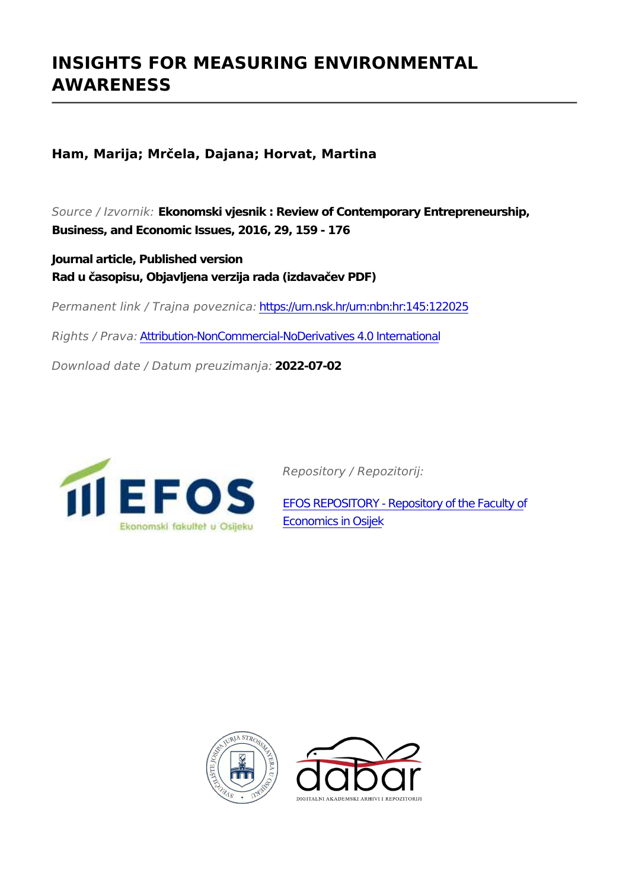# **INSIGHTS FOR MEASURING ENVIRONMENTAL AWARENESS**

**Ham, Marija; Mrčela, Dajana; Horvat, Martina**

*Source / Izvornik:* **Ekonomski vjesnik : Review of Contemporary Entrepreneurship, Business, and Economic Issues, 2016, 29, 159 - 176**

**Journal article, Published version Rad u časopisu, Objavljena verzija rada (izdavačev PDF)**

*Permanent link / Trajna poveznica:* <https://urn.nsk.hr/urn:nbn:hr:145:122025>

*Rights / Prava:* [Attribution-NonCommercial-NoDerivatives 4.0 International](http://creativecommons.org/licenses/by-nc-nd/4.0/)

*Download date / Datum preuzimanja:* **2022-07-02**



*Repository / Repozitorij:*

[EFOS REPOSITORY - Repository of the Faculty o](https://repozitorij.efos.hr)f [Economics in Osijek](https://repozitorij.efos.hr)



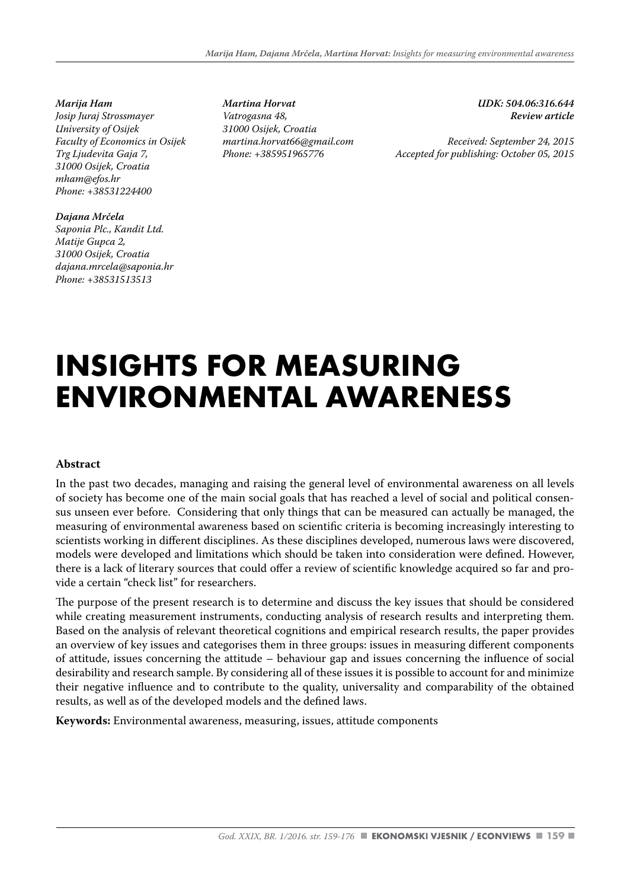*Marija Ham Josip Juraj Strossmayer University of Osijek Faculty of Economics in Osijek Trg Ljudevita Gaja 7, 31000 Osijek, Croatia mham@efos.hr Phone: +38531224400*

*Dajana Mrčela Saponia Plc., Kandit Ltd. Matije Gupca 2, 31000 Osijek, Croatia dajana.mrcela@saponia.hr Phone: +38531513513*

*Martina Horvat Vatrogasna 48, 31000 Osijek, Croatia martina.horvat66@gmail.com Phone: +385951965776*

*UDK: 504.06:316.644 Review article* 

*Received: September 24, 2015 Accepted for publishing: October 05, 2015*

# **INSIGHTS FOR MEASURING ENVIRONMENTAL AWARENESS**

#### **Abstract**

In the past two decades, managing and raising the general level of environmental awareness on all levels of society has become one of the main social goals that has reached a level of social and political consensus unseen ever before. Considering that only things that can be measured can actually be managed, the measuring of environmental awareness based on scientific criteria is becoming increasingly interesting to scientists working in different disciplines. As these disciplines developed, numerous laws were discovered, models were developed and limitations which should be taken into consideration were defined. However, there is a lack of literary sources that could offer a review of scientific knowledge acquired so far and provide a certain "check list" for researchers.

The purpose of the present research is to determine and discuss the key issues that should be considered while creating measurement instruments, conducting analysis of research results and interpreting them. Based on the analysis of relevant theoretical cognitions and empirical research results, the paper provides an overview of key issues and categorises them in three groups: issues in measuring different components of attitude, issues concerning the attitude – behaviour gap and issues concerning the influence of social desirability and research sample. By considering all of these issues it is possible to account for and minimize their negative influence and to contribute to the quality, universality and comparability of the obtained results, as well as of the developed models and the defined laws.

**Keywords:** Environmental awareness, measuring, issues, attitude components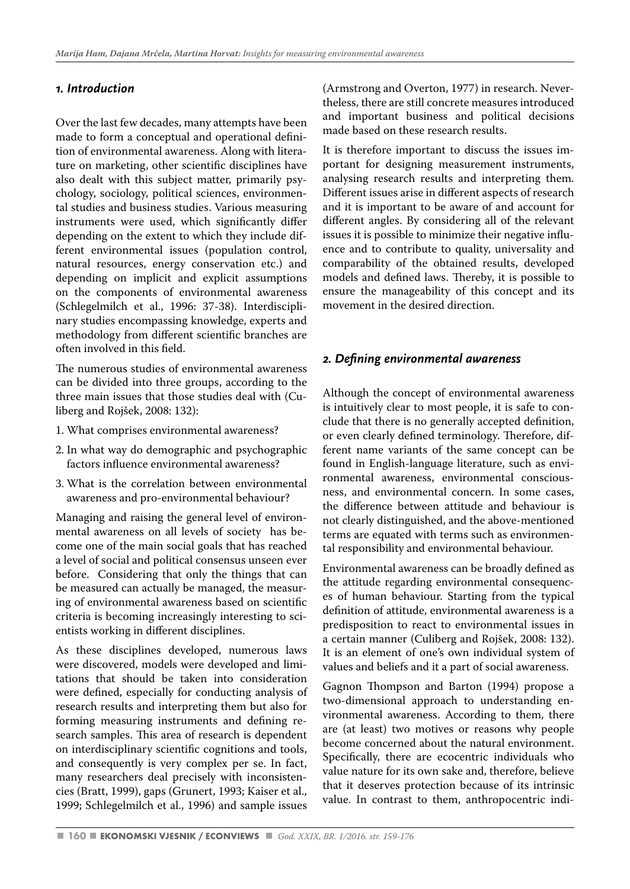#### *1. Introduction*

Over the last few decades, many attempts have been made to form a conceptual and operational definition of environmental awareness. Along with literature on marketing, other scientific disciplines have also dealt with this subject matter, primarily psychology, sociology, political sciences, environmental studies and business studies. Various measuring instruments were used, which significantly differ depending on the extent to which they include different environmental issues (population control, natural resources, energy conservation etc.) and depending on implicit and explicit assumptions on the components of environmental awareness (Schlegelmilch et al., 1996: 37-38). Interdisciplinary studies encompassing knowledge, experts and methodology from different scientific branches are often involved in this field.

The numerous studies of environmental awareness can be divided into three groups, according to the three main issues that those studies deal with (Culiberg and Rojšek, 2008: 132):

- 1. What comprises environmental awareness?
- 2. In what way do demographic and psychographic factors influence environmental awareness?
- 3. What is the correlation between environmental awareness and pro-environmental behaviour?

Managing and raising the general level of environmental awareness on all levels of society has become one of the main social goals that has reached a level of social and political consensus unseen ever before. Considering that only the things that can be measured can actually be managed, the measuring of environmental awareness based on scientific criteria is becoming increasingly interesting to scientists working in different disciplines.

As these disciplines developed, numerous laws were discovered, models were developed and limitations that should be taken into consideration were defined, especially for conducting analysis of research results and interpreting them but also for forming measuring instruments and defining research samples. This area of research is dependent on interdisciplinary scientific cognitions and tools, and consequently is very complex per se. In fact, many researchers deal precisely with inconsistencies (Bratt, 1999), gaps (Grunert, 1993; Kaiser et al., 1999; Schlegelmilch et al., 1996) and sample issues (Armstrong and Overton, 1977) in research. Nevertheless, there are still concrete measures introduced and important business and political decisions made based on these research results.

It is therefore important to discuss the issues important for designing measurement instruments, analysing research results and interpreting them. Different issues arise in different aspects of research and it is important to be aware of and account for different angles. By considering all of the relevant issues it is possible to minimize their negative influence and to contribute to quality, universality and comparability of the obtained results, developed models and defined laws. Thereby, it is possible to ensure the manageability of this concept and its movement in the desired direction.

#### *2. Defining environmental awareness*

Although the concept of environmental awareness is intuitively clear to most people, it is safe to conclude that there is no generally accepted definition, or even clearly defined terminology. Therefore, different name variants of the same concept can be found in English-language literature, such as environmental awareness, environmental consciousness, and environmental concern. In some cases, the difference between attitude and behaviour is not clearly distinguished, and the above-mentioned terms are equated with terms such as environmental responsibility and environmental behaviour.

Environmental awareness can be broadly defined as the attitude regarding environmental consequences of human behaviour. Starting from the typical definition of attitude, environmental awareness is a predisposition to react to environmental issues in a certain manner (Culiberg and Rojšek, 2008: 132). It is an element of one's own individual system of values and beliefs and it a part of social awareness.

Gagnon Thompson and Barton (1994) propose a two-dimensional approach to understanding environmental awareness. According to them, there are (at least) two motives or reasons why people become concerned about the natural environment. Specifically, there are ecocentric individuals who value nature for its own sake and, therefore, believe that it deserves protection because of its intrinsic value. In contrast to them, anthropocentric indi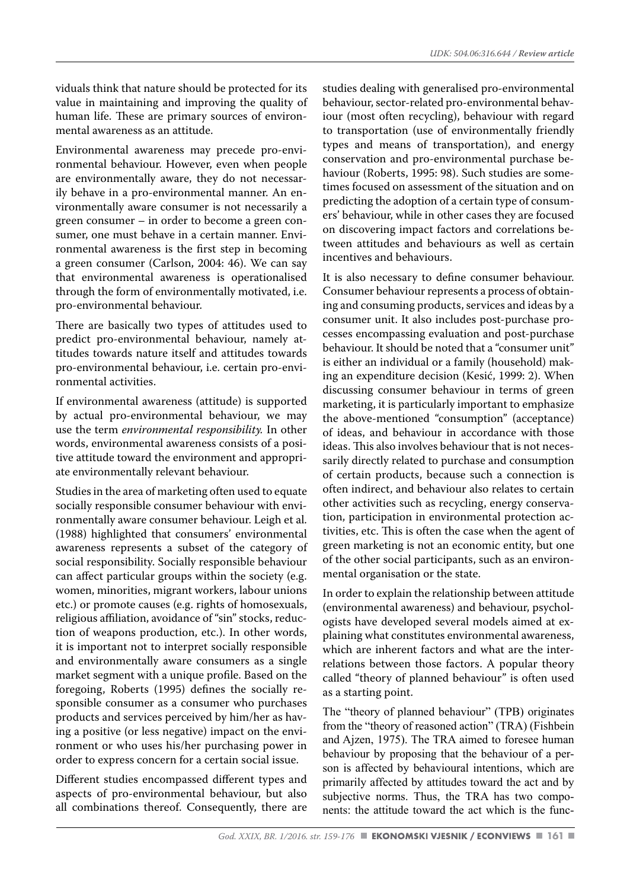viduals think that nature should be protected for its value in maintaining and improving the quality of human life. These are primary sources of environmental awareness as an attitude.

Environmental awareness may precede pro-environmental behaviour. However, even when people are environmentally aware, they do not necessarily behave in a pro-environmental manner. An environmentally aware consumer is not necessarily a green consumer – in order to become a green consumer, one must behave in a certain manner. Environmental awareness is the first step in becoming a green consumer (Carlson, 2004: 46). We can say that environmental awareness is operationalised through the form of environmentally motivated, i.e. pro-environmental behaviour.

There are basically two types of attitudes used to predict pro-environmental behaviour, namely attitudes towards nature itself and attitudes towards pro-environmental behaviour, i.e. certain pro-environmental activities.

If environmental awareness (attitude) is supported by actual pro-environmental behaviour, we may use the term *environmental responsibility.* In other words, environmental awareness consists of a positive attitude toward the environment and appropriate environmentally relevant behaviour.

Studies in the area of marketing often used to equate socially responsible consumer behaviour with environmentally aware consumer behaviour. Leigh et al. (1988) highlighted that consumers' environmental awareness represents a subset of the category of social responsibility. Socially responsible behaviour can affect particular groups within the society (e.g. women, minorities, migrant workers, labour unions etc.) or promote causes (e.g. rights of homosexuals, religious affiliation, avoidance of "sin" stocks, reduction of weapons production, etc.). In other words, it is important not to interpret socially responsible and environmentally aware consumers as a single market segment with a unique profile. Based on the foregoing, Roberts (1995) defines the socially responsible consumer as a consumer who purchases products and services perceived by him/her as having a positive (or less negative) impact on the environment or who uses his/her purchasing power in order to express concern for a certain social issue.

Different studies encompassed different types and aspects of pro-environmental behaviour, but also all combinations thereof. Consequently, there are

studies dealing with generalised pro-environmental behaviour, sector-related pro-environmental behaviour (most often recycling), behaviour with regard to transportation (use of environmentally friendly types and means of transportation), and energy conservation and pro-environmental purchase behaviour (Roberts, 1995: 98). Such studies are sometimes focused on assessment of the situation and on predicting the adoption of a certain type of consumers' behaviour, while in other cases they are focused on discovering impact factors and correlations between attitudes and behaviours as well as certain incentives and behaviours.

It is also necessary to define consumer behaviour. Consumer behaviour represents a process of obtaining and consuming products, services and ideas by a consumer unit. It also includes post-purchase processes encompassing evaluation and post-purchase behaviour. It should be noted that a "consumer unit" is either an individual or a family (household) making an expenditure decision (Kesić, 1999: 2). When discussing consumer behaviour in terms of green marketing, it is particularly important to emphasize the above-mentioned "consumption" (acceptance) of ideas, and behaviour in accordance with those ideas. This also involves behaviour that is not necessarily directly related to purchase and consumption of certain products, because such a connection is often indirect, and behaviour also relates to certain other activities such as recycling, energy conservation, participation in environmental protection activities, etc. This is often the case when the agent of green marketing is not an economic entity, but one of the other social participants, such as an environmental organisation or the state.

In order to explain the relationship between attitude (environmental awareness) and behaviour, psychologists have developed several models aimed at explaining what constitutes environmental awareness, which are inherent factors and what are the interrelations between those factors. A popular theory called "theory of planned behaviour" is often used as a starting point.

The "theory of planned behaviour" (TPB) originates from the "theory of reasoned action" (TRA) (Fishbein and Ajzen, 1975). The TRA aimed to foresee human behaviour by proposing that the behaviour of a person is affected by behavioural intentions, which are primarily affected by attitudes toward the act and by subjective norms. Thus, the TRA has two components: the attitude toward the act which is the func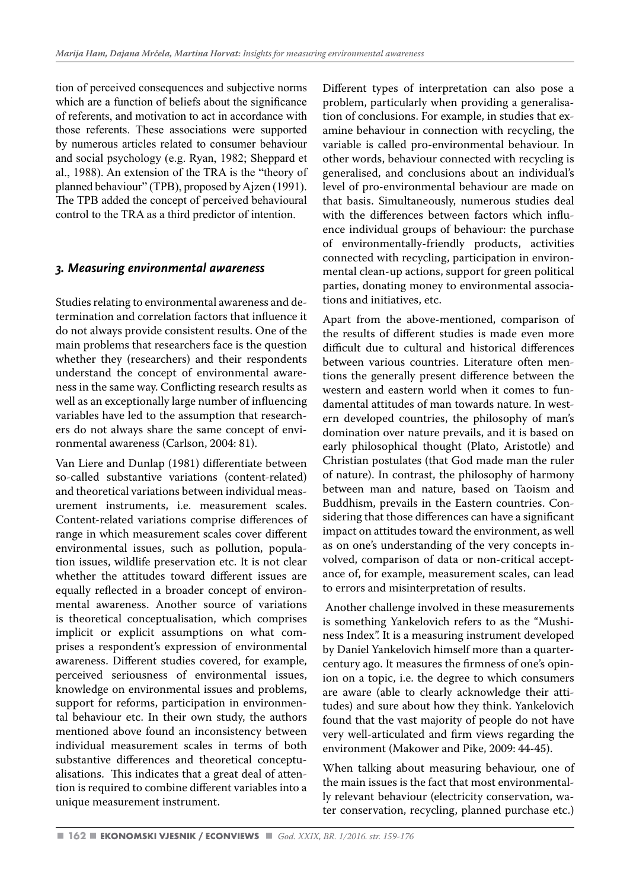tion of perceived consequences and subjective norms which are a function of beliefs about the significance of referents, and motivation to act in accordance with those referents. These associations were supported by numerous articles related to consumer behaviour and social psychology (e.g. Ryan, 1982; Sheppard et al., 1988). An extension of the TRA is the "theory of planned behaviour" (TPB), proposed by Ajzen (1991). The TPB added the concept of perceived behavioural control to the TRA as a third predictor of intention.

#### *3. Measuring environmental awareness*

Studies relating to environmental awareness and determination and correlation factors that influence it do not always provide consistent results. One of the main problems that researchers face is the question whether they (researchers) and their respondents understand the concept of environmental awareness in the same way. Conflicting research results as well as an exceptionally large number of influencing variables have led to the assumption that researchers do not always share the same concept of environmental awareness (Carlson, 2004: 81).

Van Liere and Dunlap (1981) differentiate between so-called substantive variations (content-related) and theoretical variations between individual measurement instruments, i.e. measurement scales. Content-related variations comprise differences of range in which measurement scales cover different environmental issues, such as pollution, population issues, wildlife preservation etc. It is not clear whether the attitudes toward different issues are equally reflected in a broader concept of environmental awareness. Another source of variations is theoretical conceptualisation, which comprises implicit or explicit assumptions on what comprises a respondent's expression of environmental awareness. Different studies covered, for example, perceived seriousness of environmental issues, knowledge on environmental issues and problems, support for reforms, participation in environmental behaviour etc. In their own study, the authors mentioned above found an inconsistency between individual measurement scales in terms of both substantive differences and theoretical conceptualisations. This indicates that a great deal of attention is required to combine different variables into a unique measurement instrument.

Different types of interpretation can also pose a problem, particularly when providing a generalisation of conclusions. For example, in studies that examine behaviour in connection with recycling, the variable is called pro-environmental behaviour. In other words, behaviour connected with recycling is generalised, and conclusions about an individual's level of pro-environmental behaviour are made on that basis. Simultaneously, numerous studies deal with the differences between factors which influence individual groups of behaviour: the purchase of environmentally-friendly products, activities connected with recycling, participation in environmental clean-up actions, support for green political parties, donating money to environmental associations and initiatives, etc.

Apart from the above-mentioned, comparison of the results of different studies is made even more difficult due to cultural and historical differences between various countries. Literature often mentions the generally present difference between the western and eastern world when it comes to fundamental attitudes of man towards nature. In western developed countries, the philosophy of man's domination over nature prevails, and it is based on early philosophical thought (Plato, Aristotle) and Christian postulates (that God made man the ruler of nature). In contrast, the philosophy of harmony between man and nature, based on Taoism and Buddhism, prevails in the Eastern countries. Considering that those differences can have a significant impact on attitudes toward the environment, as well as on one's understanding of the very concepts involved, comparison of data or non-critical acceptance of, for example, measurement scales, can lead to errors and misinterpretation of results.

 Another challenge involved in these measurements is something Yankelovich refers to as the "Mushiness Index". It is a measuring instrument developed by Daniel Yankelovich himself more than a quartercentury ago. It measures the firmness of one's opinion on a topic, i.e. the degree to which consumers are aware (able to clearly acknowledge their attitudes) and sure about how they think. Yankelovich found that the vast majority of people do not have very well-articulated and firm views regarding the environment (Makower and Pike, 2009: 44-45).

When talking about measuring behaviour, one of the main issues is the fact that most environmentally relevant behaviour (electricity conservation, water conservation, recycling, planned purchase etc.)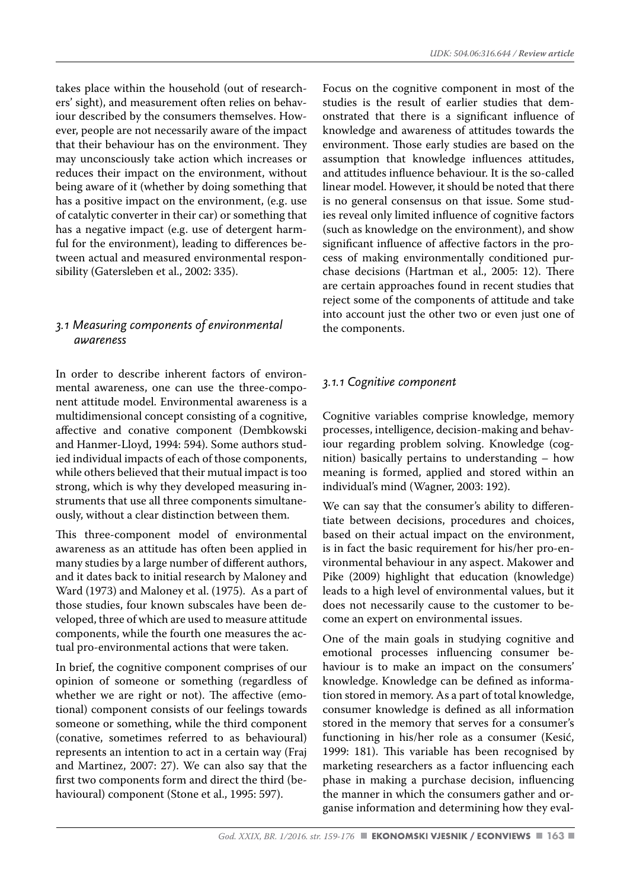takes place within the household (out of researchers' sight), and measurement often relies on behaviour described by the consumers themselves. However, people are not necessarily aware of the impact that their behaviour has on the environment. They may unconsciously take action which increases or reduces their impact on the environment, without being aware of it (whether by doing something that has a positive impact on the environment, (e.g. use of catalytic converter in their car) or something that has a negative impact (e.g. use of detergent harmful for the environment), leading to differences between actual and measured environmental responsibility (Gatersleben et al., 2002: 335).

#### *3.1 Measuring components of environmental awareness*

In order to describe inherent factors of environmental awareness, one can use the three-component attitude model. Environmental awareness is a multidimensional concept consisting of a cognitive, affective and conative component (Dembkowski and Hanmer-Lloyd, 1994: 594). Some authors studied individual impacts of each of those components, while others believed that their mutual impact is too strong, which is why they developed measuring instruments that use all three components simultaneously, without a clear distinction between them.

This three-component model of environmental awareness as an attitude has often been applied in many studies by a large number of different authors, and it dates back to initial research by Maloney and Ward (1973) and Maloney et al. (1975). As a part of those studies, four known subscales have been developed, three of which are used to measure attitude components, while the fourth one measures the actual pro-environmental actions that were taken.

In brief, the cognitive component comprises of our opinion of someone or something (regardless of whether we are right or not). The affective (emotional) component consists of our feelings towards someone or something, while the third component (conative, sometimes referred to as behavioural) represents an intention to act in a certain way (Fraj and Martinez, 2007: 27). We can also say that the first two components form and direct the third (behavioural) component (Stone et al., 1995: 597).

Focus on the cognitive component in most of the studies is the result of earlier studies that demonstrated that there is a significant influence of knowledge and awareness of attitudes towards the environment. Those early studies are based on the assumption that knowledge influences attitudes, and attitudes influence behaviour. It is the so-called linear model. However, it should be noted that there is no general consensus on that issue. Some studies reveal only limited influence of cognitive factors (such as knowledge on the environment), and show significant influence of affective factors in the process of making environmentally conditioned purchase decisions (Hartman et al., 2005: 12). There are certain approaches found in recent studies that reject some of the components of attitude and take into account just the other two or even just one of the components.

### *3.1.1 Cognitive component*

Cognitive variables comprise knowledge, memory processes, intelligence, decision-making and behaviour regarding problem solving. Knowledge (cognition) basically pertains to understanding – how meaning is formed, applied and stored within an individual's mind (Wagner, 2003: 192).

We can say that the consumer's ability to differentiate between decisions, procedures and choices, based on their actual impact on the environment, is in fact the basic requirement for his/her pro-environmental behaviour in any aspect. Makower and Pike (2009) highlight that education (knowledge) leads to a high level of environmental values, but it does not necessarily cause to the customer to become an expert on environmental issues.

One of the main goals in studying cognitive and emotional processes influencing consumer behaviour is to make an impact on the consumers' knowledge. Knowledge can be defined as information stored in memory. As a part of total knowledge, consumer knowledge is defined as all information stored in the memory that serves for a consumer's functioning in his/her role as a consumer (Kesić, 1999: 181). This variable has been recognised by marketing researchers as a factor influencing each phase in making a purchase decision, influencing the manner in which the consumers gather and organise information and determining how they eval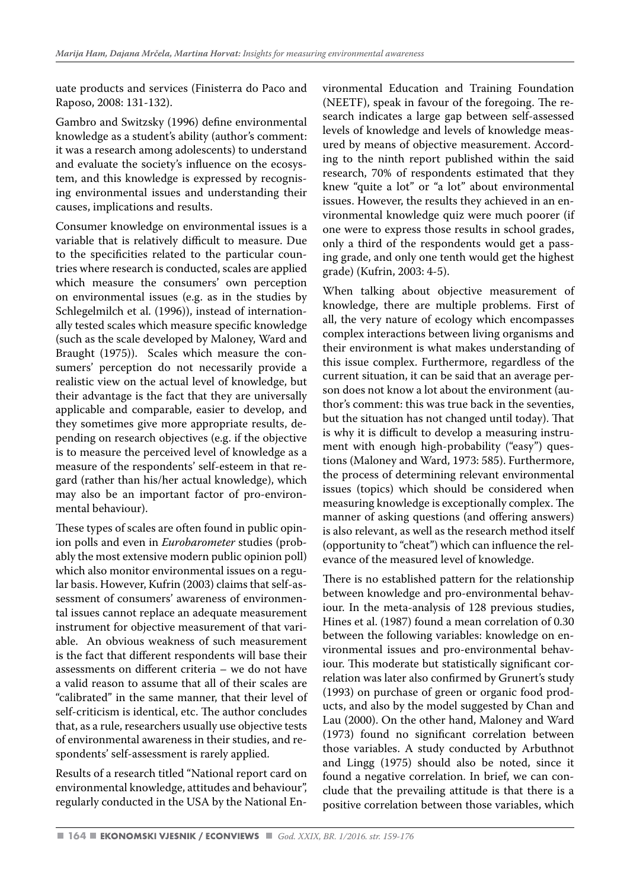uate products and services (Finisterra do Paco and Raposo, 2008: 131-132).

Gambro and Switzsky (1996) define environmental knowledge as a student's ability (author's comment: it was a research among adolescents) to understand and evaluate the society's influence on the ecosystem, and this knowledge is expressed by recognising environmental issues and understanding their causes, implications and results.

Consumer knowledge on environmental issues is a variable that is relatively difficult to measure. Due to the specificities related to the particular countries where research is conducted, scales are applied which measure the consumers' own perception on environmental issues (e.g. as in the studies by Schlegelmilch et al. (1996)), instead of internationally tested scales which measure specific knowledge (such as the scale developed by Maloney, Ward and Braught (1975)). Scales which measure the consumers' perception do not necessarily provide a realistic view on the actual level of knowledge, but their advantage is the fact that they are universally applicable and comparable, easier to develop, and they sometimes give more appropriate results, depending on research objectives (e.g. if the objective is to measure the perceived level of knowledge as a measure of the respondents' self-esteem in that regard (rather than his/her actual knowledge), which may also be an important factor of pro-environmental behaviour).

These types of scales are often found in public opinion polls and even in *Eurobarometer* studies (probably the most extensive modern public opinion poll) which also monitor environmental issues on a regular basis. However, Kufrin (2003) claims that self-assessment of consumers' awareness of environmental issues cannot replace an adequate measurement instrument for objective measurement of that variable. An obvious weakness of such measurement is the fact that different respondents will base their assessments on different criteria – we do not have a valid reason to assume that all of their scales are "calibrated" in the same manner, that their level of self-criticism is identical, etc. The author concludes that, as a rule, researchers usually use objective tests of environmental awareness in their studies, and respondents' self-assessment is rarely applied.

Results of a research titled "National report card on environmental knowledge, attitudes and behaviour", regularly conducted in the USA by the National Environmental Education and Training Foundation (NEETF), speak in favour of the foregoing. The research indicates a large gap between self-assessed levels of knowledge and levels of knowledge measured by means of objective measurement. According to the ninth report published within the said research, 70% of respondents estimated that they knew "quite a lot" or "a lot" about environmental issues. However, the results they achieved in an environmental knowledge quiz were much poorer (if one were to express those results in school grades, only a third of the respondents would get a passing grade, and only one tenth would get the highest grade) (Kufrin, 2003: 4-5).

When talking about objective measurement of knowledge, there are multiple problems. First of all, the very nature of ecology which encompasses complex interactions between living organisms and their environment is what makes understanding of this issue complex. Furthermore, regardless of the current situation, it can be said that an average person does not know a lot about the environment (author's comment: this was true back in the seventies, but the situation has not changed until today). That is why it is difficult to develop a measuring instrument with enough high-probability ("easy") questions (Maloney and Ward, 1973: 585). Furthermore, the process of determining relevant environmental issues (topics) which should be considered when measuring knowledge is exceptionally complex. The manner of asking questions (and offering answers) is also relevant, as well as the research method itself (opportunity to "cheat") which can influence the relevance of the measured level of knowledge.

There is no established pattern for the relationship between knowledge and pro-environmental behaviour. In the meta-analysis of 128 previous studies, Hines et al. (1987) found a mean correlation of 0.30 between the following variables: knowledge on environmental issues and pro-environmental behaviour. This moderate but statistically significant correlation was later also confirmed by Grunert's study (1993) on purchase of green or organic food products, and also by the model suggested by Chan and Lau (2000). On the other hand, Maloney and Ward (1973) found no significant correlation between those variables. A study conducted by Arbuthnot and Lingg (1975) should also be noted, since it found a negative correlation. In brief, we can conclude that the prevailing attitude is that there is a positive correlation between those variables, which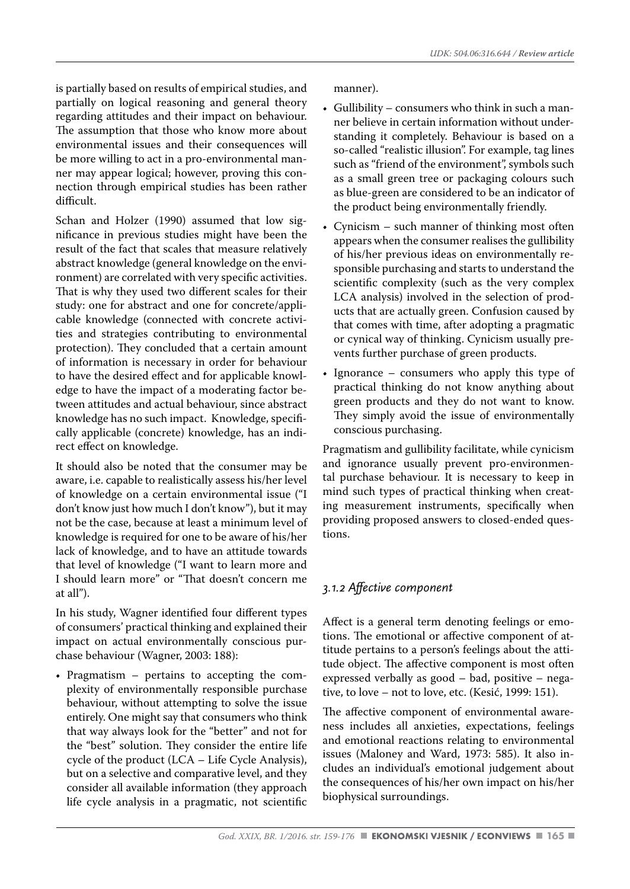is partially based on results of empirical studies, and partially on logical reasoning and general theory regarding attitudes and their impact on behaviour. The assumption that those who know more about environmental issues and their consequences will be more willing to act in a pro-environmental manner may appear logical; however, proving this connection through empirical studies has been rather difficult.

Schan and Holzer (1990) assumed that low significance in previous studies might have been the result of the fact that scales that measure relatively abstract knowledge (general knowledge on the environment) are correlated with very specific activities. That is why they used two different scales for their study: one for abstract and one for concrete/applicable knowledge (connected with concrete activities and strategies contributing to environmental protection). They concluded that a certain amount of information is necessary in order for behaviour to have the desired effect and for applicable knowledge to have the impact of a moderating factor between attitudes and actual behaviour, since abstract knowledge has no such impact. Knowledge, specifically applicable (concrete) knowledge, has an indirect effect on knowledge.

It should also be noted that the consumer may be aware, i.e. capable to realistically assess his/her level of knowledge on a certain environmental issue ("I don't know just how much I don't know"), but it may not be the case, because at least a minimum level of knowledge is required for one to be aware of his/her lack of knowledge, and to have an attitude towards that level of knowledge ("I want to learn more and I should learn more" or "That doesn't concern me at all").

In his study, Wagner identified four different types of consumers' practical thinking and explained their impact on actual environmentally conscious purchase behaviour (Wagner, 2003: 188):

• Pragmatism – pertains to accepting the complexity of environmentally responsible purchase behaviour, without attempting to solve the issue entirely. One might say that consumers who think that way always look for the "better" and not for the "best" solution. They consider the entire life cycle of the product (LCA – Life Cycle Analysis), but on a selective and comparative level, and they consider all available information (they approach life cycle analysis in a pragmatic, not scientific manner).

- Gullibility consumers who think in such a manner believe in certain information without understanding it completely. Behaviour is based on a so-called "realistic illusion". For example, tag lines such as "friend of the environment", symbols such as a small green tree or packaging colours such as blue-green are considered to be an indicator of the product being environmentally friendly.
- Cynicism such manner of thinking most often appears when the consumer realises the gullibility of his/her previous ideas on environmentally responsible purchasing and starts to understand the scientific complexity (such as the very complex LCA analysis) involved in the selection of products that are actually green. Confusion caused by that comes with time, after adopting a pragmatic or cynical way of thinking. Cynicism usually prevents further purchase of green products.
- Ignorance consumers who apply this type of practical thinking do not know anything about green products and they do not want to know. They simply avoid the issue of environmentally conscious purchasing.

Pragmatism and gullibility facilitate, while cynicism and ignorance usually prevent pro-environmental purchase behaviour. It is necessary to keep in mind such types of practical thinking when creating measurement instruments, specifically when providing proposed answers to closed-ended questions.

# *3.1.2 Affective component*

Affect is a general term denoting feelings or emotions. The emotional or affective component of attitude pertains to a person's feelings about the attitude object. The affective component is most often expressed verbally as good – bad, positive – negative, to love – not to love, etc. (Kesić, 1999: 151).

The affective component of environmental awareness includes all anxieties, expectations, feelings and emotional reactions relating to environmental issues (Maloney and Ward, 1973: 585). It also includes an individual's emotional judgement about the consequences of his/her own impact on his/her biophysical surroundings.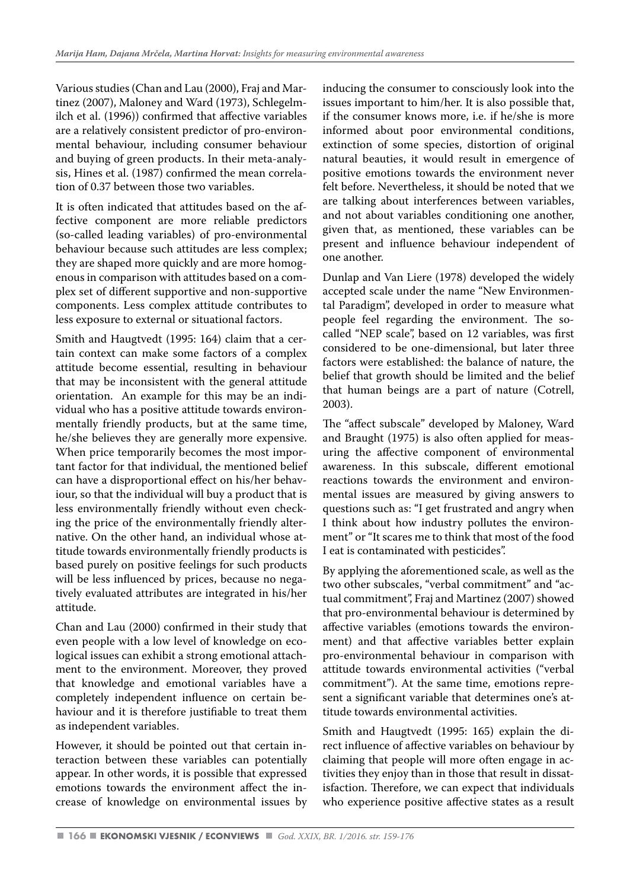Various studies (Chan and Lau (2000), Fraj and Martinez (2007), Maloney and Ward (1973), Schlegelmilch et al. (1996)) confirmed that affective variables are a relatively consistent predictor of pro-environmental behaviour, including consumer behaviour and buying of green products. In their meta-analysis, Hines et al. (1987) confirmed the mean correlation of 0.37 between those two variables.

It is often indicated that attitudes based on the affective component are more reliable predictors (so-called leading variables) of pro-environmental behaviour because such attitudes are less complex; they are shaped more quickly and are more homogenous in comparison with attitudes based on a complex set of different supportive and non-supportive components. Less complex attitude contributes to less exposure to external or situational factors.

Smith and Haugtvedt (1995: 164) claim that a certain context can make some factors of a complex attitude become essential, resulting in behaviour that may be inconsistent with the general attitude orientation. An example for this may be an individual who has a positive attitude towards environmentally friendly products, but at the same time, he/she believes they are generally more expensive. When price temporarily becomes the most important factor for that individual, the mentioned belief can have a disproportional effect on his/her behaviour, so that the individual will buy a product that is less environmentally friendly without even checking the price of the environmentally friendly alternative. On the other hand, an individual whose attitude towards environmentally friendly products is based purely on positive feelings for such products will be less influenced by prices, because no negatively evaluated attributes are integrated in his/her attitude.

Chan and Lau (2000) confirmed in their study that even people with a low level of knowledge on ecological issues can exhibit a strong emotional attachment to the environment. Moreover, they proved that knowledge and emotional variables have a completely independent influence on certain behaviour and it is therefore justifiable to treat them as independent variables.

However, it should be pointed out that certain interaction between these variables can potentially appear. In other words, it is possible that expressed emotions towards the environment affect the increase of knowledge on environmental issues by inducing the consumer to consciously look into the issues important to him/her. It is also possible that, if the consumer knows more, i.e. if he/she is more informed about poor environmental conditions, extinction of some species, distortion of original natural beauties, it would result in emergence of positive emotions towards the environment never felt before. Nevertheless, it should be noted that we are talking about interferences between variables, and not about variables conditioning one another, given that, as mentioned, these variables can be present and influence behaviour independent of one another.

Dunlap and Van Liere (1978) developed the widely accepted scale under the name "New Environmental Paradigm", developed in order to measure what people feel regarding the environment. The socalled "NEP scale", based on 12 variables, was first considered to be one-dimensional, but later three factors were established: the balance of nature, the belief that growth should be limited and the belief that human beings are a part of nature (Cotrell, 2003).

The "affect subscale" developed by Maloney, Ward and Braught (1975) is also often applied for measuring the affective component of environmental awareness. In this subscale, different emotional reactions towards the environment and environmental issues are measured by giving answers to questions such as: "I get frustrated and angry when I think about how industry pollutes the environment" or "It scares me to think that most of the food I eat is contaminated with pesticides".

By applying the aforementioned scale, as well as the two other subscales, "verbal commitment" and "actual commitment", Fraj and Martinez (2007) showed that pro-environmental behaviour is determined by affective variables (emotions towards the environment) and that affective variables better explain pro-environmental behaviour in comparison with attitude towards environmental activities ("verbal commitment"). At the same time, emotions represent a significant variable that determines one's attitude towards environmental activities.

Smith and Haugtvedt (1995: 165) explain the direct influence of affective variables on behaviour by claiming that people will more often engage in activities they enjoy than in those that result in dissatisfaction. Therefore, we can expect that individuals who experience positive affective states as a result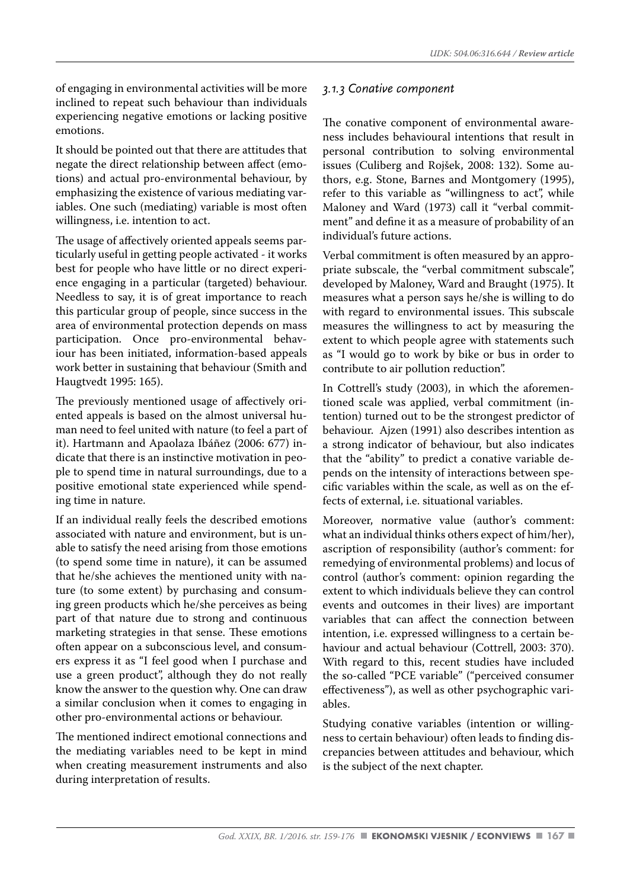of engaging in environmental activities will be more inclined to repeat such behaviour than individuals experiencing negative emotions or lacking positive emotions.

It should be pointed out that there are attitudes that negate the direct relationship between affect (emotions) and actual pro-environmental behaviour, by emphasizing the existence of various mediating variables. One such (mediating) variable is most often willingness, i.e. intention to act.

The usage of affectively oriented appeals seems particularly useful in getting people activated - it works best for people who have little or no direct experience engaging in a particular (targeted) behaviour. Needless to say, it is of great importance to reach this particular group of people, since success in the area of environmental protection depends on mass participation. Once pro-environmental behaviour has been initiated, information-based appeals work better in sustaining that behaviour (Smith and Haugtvedt 1995: 165).

The previously mentioned usage of affectively oriented appeals is based on the almost universal human need to feel united with nature (to feel a part of it). Hartmann and Apaolaza Ibáñez (2006: 677) indicate that there is an instinctive motivation in people to spend time in natural surroundings, due to a positive emotional state experienced while spending time in nature.

If an individual really feels the described emotions associated with nature and environment, but is unable to satisfy the need arising from those emotions (to spend some time in nature), it can be assumed that he/she achieves the mentioned unity with nature (to some extent) by purchasing and consuming green products which he/she perceives as being part of that nature due to strong and continuous marketing strategies in that sense. These emotions often appear on a subconscious level, and consumers express it as "I feel good when I purchase and use a green product", although they do not really know the answer to the question why. One can draw a similar conclusion when it comes to engaging in other pro-environmental actions or behaviour.

The mentioned indirect emotional connections and the mediating variables need to be kept in mind when creating measurement instruments and also during interpretation of results.

#### *3.1.3 Conative component*

The conative component of environmental awareness includes behavioural intentions that result in personal contribution to solving environmental issues (Culiberg and Rojšek, 2008: 132). Some authors, e.g. Stone, Barnes and Montgomery (1995), refer to this variable as "willingness to act", while Maloney and Ward (1973) call it "verbal commitment" and define it as a measure of probability of an individual's future actions.

Verbal commitment is often measured by an appropriate subscale, the "verbal commitment subscale", developed by Maloney, Ward and Braught (1975). It measures what a person says he/she is willing to do with regard to environmental issues. This subscale measures the willingness to act by measuring the extent to which people agree with statements such as "I would go to work by bike or bus in order to contribute to air pollution reduction".

In Cottrell's study (2003), in which the aforementioned scale was applied, verbal commitment (intention) turned out to be the strongest predictor of behaviour. Ajzen (1991) also describes intention as a strong indicator of behaviour, but also indicates that the "ability" to predict a conative variable depends on the intensity of interactions between specific variables within the scale, as well as on the effects of external, i.e. situational variables.

Moreover, normative value (author's comment: what an individual thinks others expect of him/her), ascription of responsibility (author's comment: for remedying of environmental problems) and locus of control (author's comment: opinion regarding the extent to which individuals believe they can control events and outcomes in their lives) are important variables that can affect the connection between intention, i.e. expressed willingness to a certain behaviour and actual behaviour (Cottrell, 2003: 370). With regard to this, recent studies have included the so-called "PCE variable" ("perceived consumer effectiveness"), as well as other psychographic variables.

Studying conative variables (intention or willingness to certain behaviour) often leads to finding discrepancies between attitudes and behaviour, which is the subject of the next chapter.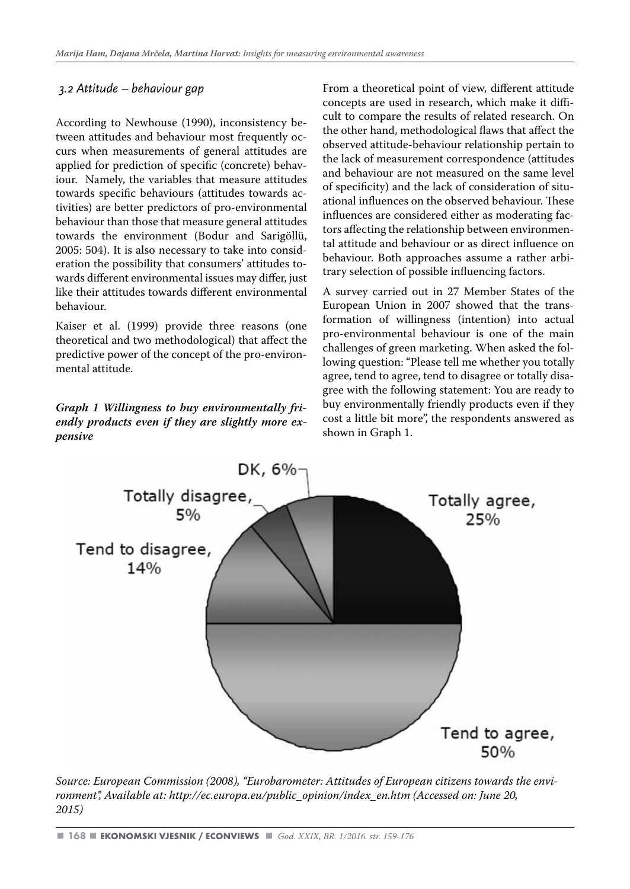#### *3.2 Attitude – behaviour gap*

According to Newhouse (1990), inconsistency between attitudes and behaviour most frequently occurs when measurements of general attitudes are applied for prediction of specific (concrete) behaviour. Namely, the variables that measure attitudes towards specific behaviours (attitudes towards activities) are better predictors of pro-environmental behaviour than those that measure general attitudes towards the environment (Bodur and Sarigöllü, 2005: 504). It is also necessary to take into consideration the possibility that consumers' attitudes towards different environmental issues may differ, just like their attitudes towards different environmental behaviour.

Kaiser et al. (1999) provide three reasons (one theoretical and two methodological) that affect the predictive power of the concept of the pro-environmental attitude.

*Graph 1 Willingness to buy environmentally friendly products even if they are slightly more expensive* 

From a theoretical point of view, different attitude concepts are used in research, which make it difficult to compare the results of related research. On the other hand, methodological flaws that affect the observed attitude-behaviour relationship pertain to the lack of measurement correspondence (attitudes and behaviour are not measured on the same level of specificity) and the lack of consideration of situational influences on the observed behaviour. These influences are considered either as moderating factors affecting the relationship between environmental attitude and behaviour or as direct influence on behaviour. Both approaches assume a rather arbitrary selection of possible influencing factors.

A survey carried out in 27 Member States of the European Union in 2007 showed that the transformation of willingness (intention) into actual pro-environmental behaviour is one of the main challenges of green marketing. When asked the following question: "Please tell me whether you totally agree, tend to agree, tend to disagree or totally disagree with the following statement: You are ready to buy environmentally friendly products even if they cost a little bit more", the respondents answered as shown in Graph 1.



*Source: European Commission (2008), "Eurobarometer: Attitudes of European citizens towards the environment", Available at: http://ec.europa.eu/public\_opinion/index\_en.htm (Accessed on: June 20, 2015)*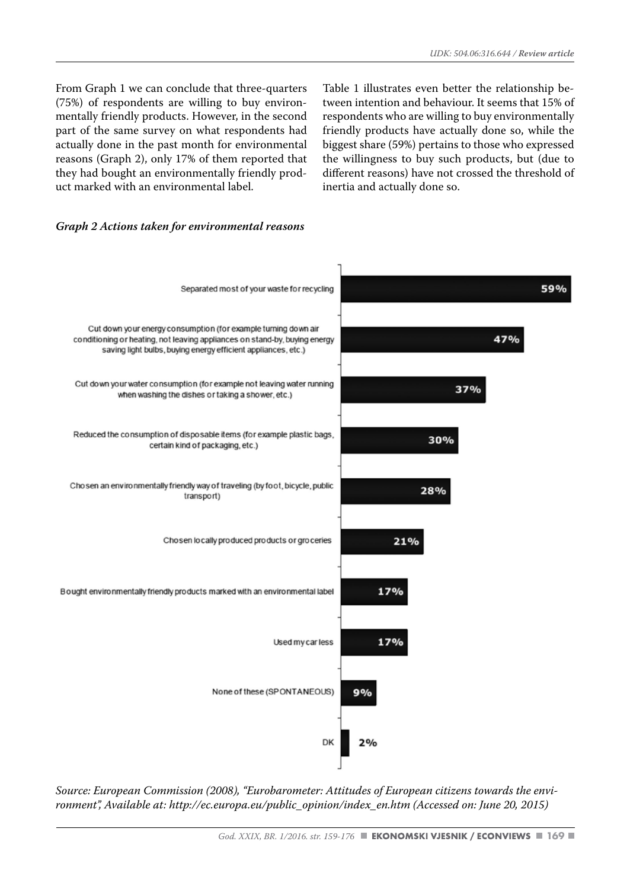From Graph 1 we can conclude that three-quarters (75%) of respondents are willing to buy environmentally friendly products. However, in the second part of the same survey on what respondents had actually done in the past month for environmental reasons (Graph 2), only 17% of them reported that they had bought an environmentally friendly product marked with an environmental label.

Table 1 illustrates even better the relationship between intention and behaviour. It seems that 15% of respondents who are willing to buy environmentally friendly products have actually done so, while the biggest share (59%) pertains to those who expressed the willingness to buy such products, but (due to different reasons) have not crossed the threshold of inertia and actually done so.

#### *Graph 2 Actions taken for environmental reasons*



*Source: European Commission (2008), "Eurobarometer: Attitudes of European citizens towards the environment", Available at: http://ec.europa.eu/public\_opinion/index\_en.htm (Accessed on: June 20, 2015)*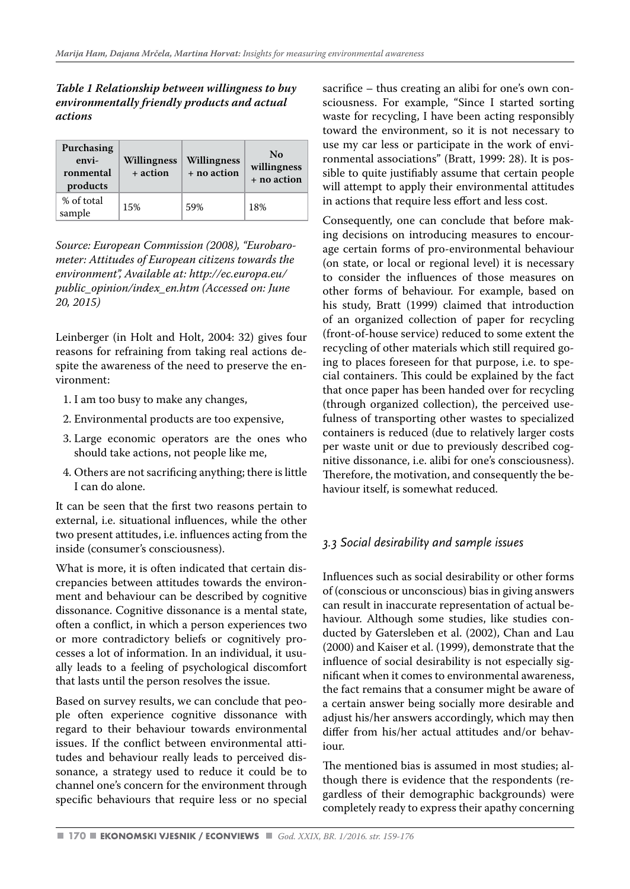*Table 1 Relationship between willingness to buy environmentally friendly products and actual actions*

| Purchasing<br>envi-<br>ronmental<br>products | Willingness<br>+ action | Willingness<br>+ no action | No<br>willingness<br>+ no action |
|----------------------------------------------|-------------------------|----------------------------|----------------------------------|
| % of total<br>sample                         | 15%                     | 59%                        | 18%                              |

*Source: European Commission (2008), "Eurobarometer: Attitudes of European citizens towards the environment", Available at: http://ec.europa.eu/ public\_opinion/index\_en.htm (Accessed on: June 20, 2015)*

Leinberger (in Holt and Holt, 2004: 32) gives four reasons for refraining from taking real actions despite the awareness of the need to preserve the environment:

- 1. I am too busy to make any changes,
- 2. Environmental products are too expensive,
- 3. Large economic operators are the ones who should take actions, not people like me,
- 4. Others are not sacrificing anything; there is little I can do alone.

It can be seen that the first two reasons pertain to external, i.e. situational influences, while the other two present attitudes, i.e. influences acting from the inside (consumer's consciousness).

What is more, it is often indicated that certain discrepancies between attitudes towards the environment and behaviour can be described by cognitive dissonance. Cognitive dissonance is a mental state, often a conflict, in which a person experiences two or more contradictory beliefs or cognitively processes a lot of information. In an individual, it usually leads to a feeling of psychological discomfort that lasts until the person resolves the issue.

Based on survey results, we can conclude that people often experience cognitive dissonance with regard to their behaviour towards environmental issues. If the conflict between environmental attitudes and behaviour really leads to perceived dissonance, a strategy used to reduce it could be to channel one's concern for the environment through specific behaviours that require less or no special sacrifice – thus creating an alibi for one's own consciousness. For example, "Since I started sorting waste for recycling, I have been acting responsibly toward the environment, so it is not necessary to use my car less or participate in the work of environmental associations" (Bratt, 1999: 28). It is possible to quite justifiably assume that certain people will attempt to apply their environmental attitudes in actions that require less effort and less cost.

Consequently, one can conclude that before making decisions on introducing measures to encourage certain forms of pro-environmental behaviour (on state, or local or regional level) it is necessary to consider the influences of those measures on other forms of behaviour. For example, based on his study, Bratt (1999) claimed that introduction of an organized collection of paper for recycling (front-of-house service) reduced to some extent the recycling of other materials which still required going to places foreseen for that purpose, i.e. to special containers. This could be explained by the fact that once paper has been handed over for recycling (through organized collection), the perceived usefulness of transporting other wastes to specialized containers is reduced (due to relatively larger costs per waste unit or due to previously described cognitive dissonance, i.e. alibi for one's consciousness). Therefore, the motivation, and consequently the behaviour itself, is somewhat reduced.

#### *3.3 Social desirability and sample issues*

Influences such as social desirability or other forms of (conscious or unconscious) bias in giving answers can result in inaccurate representation of actual behaviour. Although some studies, like studies conducted by Gatersleben et al. (2002), Chan and Lau (2000) and Kaiser et al. (1999), demonstrate that the influence of social desirability is not especially significant when it comes to environmental awareness, the fact remains that a consumer might be aware of a certain answer being socially more desirable and adjust his/her answers accordingly, which may then differ from his/her actual attitudes and/or behaviour.

The mentioned bias is assumed in most studies; although there is evidence that the respondents (regardless of their demographic backgrounds) were completely ready to express their apathy concerning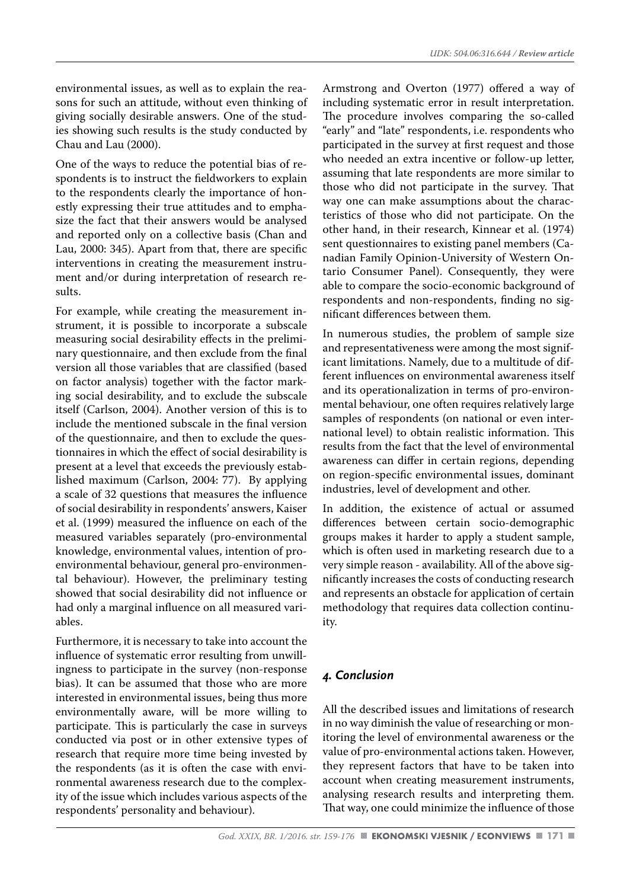environmental issues, as well as to explain the reasons for such an attitude, without even thinking of giving socially desirable answers. One of the studies showing such results is the study conducted by Chau and Lau (2000).

One of the ways to reduce the potential bias of respondents is to instruct the fieldworkers to explain to the respondents clearly the importance of honestly expressing their true attitudes and to emphasize the fact that their answers would be analysed and reported only on a collective basis (Chan and Lau, 2000: 345). Apart from that, there are specific interventions in creating the measurement instrument and/or during interpretation of research results.

For example, while creating the measurement instrument, it is possible to incorporate a subscale measuring social desirability effects in the preliminary questionnaire, and then exclude from the final version all those variables that are classified (based on factor analysis) together with the factor marking social desirability, and to exclude the subscale itself (Carlson, 2004). Another version of this is to include the mentioned subscale in the final version of the questionnaire, and then to exclude the questionnaires in which the effect of social desirability is present at a level that exceeds the previously established maximum (Carlson, 2004: 77). By applying a scale of 32 questions that measures the influence of social desirability in respondents' answers, Kaiser et al. (1999) measured the influence on each of the measured variables separately (pro-environmental knowledge, environmental values, intention of proenvironmental behaviour, general pro-environmental behaviour). However, the preliminary testing showed that social desirability did not influence or had only a marginal influence on all measured variables.

Furthermore, it is necessary to take into account the influence of systematic error resulting from unwillingness to participate in the survey (non-response bias). It can be assumed that those who are more interested in environmental issues, being thus more environmentally aware, will be more willing to participate. This is particularly the case in surveys conducted via post or in other extensive types of research that require more time being invested by the respondents (as it is often the case with environmental awareness research due to the complexity of the issue which includes various aspects of the respondents' personality and behaviour).

Armstrong and Overton (1977) offered a way of including systematic error in result interpretation. The procedure involves comparing the so-called "early" and "late" respondents, i.e. respondents who participated in the survey at first request and those who needed an extra incentive or follow-up letter, assuming that late respondents are more similar to those who did not participate in the survey. That way one can make assumptions about the characteristics of those who did not participate. On the other hand, in their research, Kinnear et al. (1974) sent questionnaires to existing panel members (Canadian Family Opinion-University of Western Ontario Consumer Panel). Consequently, they were able to compare the socio-economic background of respondents and non-respondents, finding no significant differences between them.

In numerous studies, the problem of sample size and representativeness were among the most significant limitations. Namely, due to a multitude of different influences on environmental awareness itself and its operationalization in terms of pro-environmental behaviour, one often requires relatively large samples of respondents (on national or even international level) to obtain realistic information. This results from the fact that the level of environmental awareness can differ in certain regions, depending on region-specific environmental issues, dominant industries, level of development and other.

In addition, the existence of actual or assumed differences between certain socio-demographic groups makes it harder to apply a student sample, which is often used in marketing research due to a very simple reason - availability. All of the above significantly increases the costs of conducting research and represents an obstacle for application of certain methodology that requires data collection continuity.

# *4. Conclusion*

All the described issues and limitations of research in no way diminish the value of researching or monitoring the level of environmental awareness or the value of pro-environmental actions taken. However, they represent factors that have to be taken into account when creating measurement instruments, analysing research results and interpreting them. That way, one could minimize the influence of those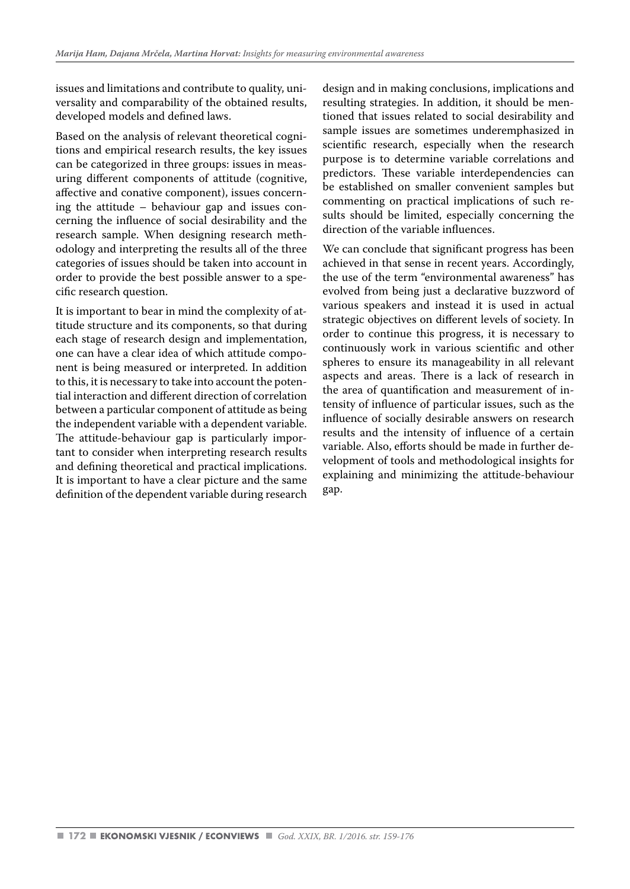issues and limitations and contribute to quality, universality and comparability of the obtained results, developed models and defined laws.

Based on the analysis of relevant theoretical cognitions and empirical research results, the key issues can be categorized in three groups: issues in measuring different components of attitude (cognitive, affective and conative component), issues concerning the attitude – behaviour gap and issues concerning the influence of social desirability and the research sample. When designing research methodology and interpreting the results all of the three categories of issues should be taken into account in order to provide the best possible answer to a specific research question.

It is important to bear in mind the complexity of attitude structure and its components, so that during each stage of research design and implementation, one can have a clear idea of which attitude component is being measured or interpreted. In addition to this, it is necessary to take into account the potential interaction and different direction of correlation between a particular component of attitude as being the independent variable with a dependent variable. The attitude-behaviour gap is particularly important to consider when interpreting research results and defining theoretical and practical implications. It is important to have a clear picture and the same definition of the dependent variable during research

design and in making conclusions, implications and resulting strategies. In addition, it should be mentioned that issues related to social desirability and sample issues are sometimes underemphasized in scientific research, especially when the research purpose is to determine variable correlations and predictors. These variable interdependencies can be established on smaller convenient samples but commenting on practical implications of such results should be limited, especially concerning the direction of the variable influences.

We can conclude that significant progress has been achieved in that sense in recent years. Accordingly, the use of the term "environmental awareness" has evolved from being just a declarative buzzword of various speakers and instead it is used in actual strategic objectives on different levels of society. In order to continue this progress, it is necessary to continuously work in various scientific and other spheres to ensure its manageability in all relevant aspects and areas. There is a lack of research in the area of quantification and measurement of intensity of influence of particular issues, such as the influence of socially desirable answers on research results and the intensity of influence of a certain variable. Also, efforts should be made in further development of tools and methodological insights for explaining and minimizing the attitude-behaviour gap.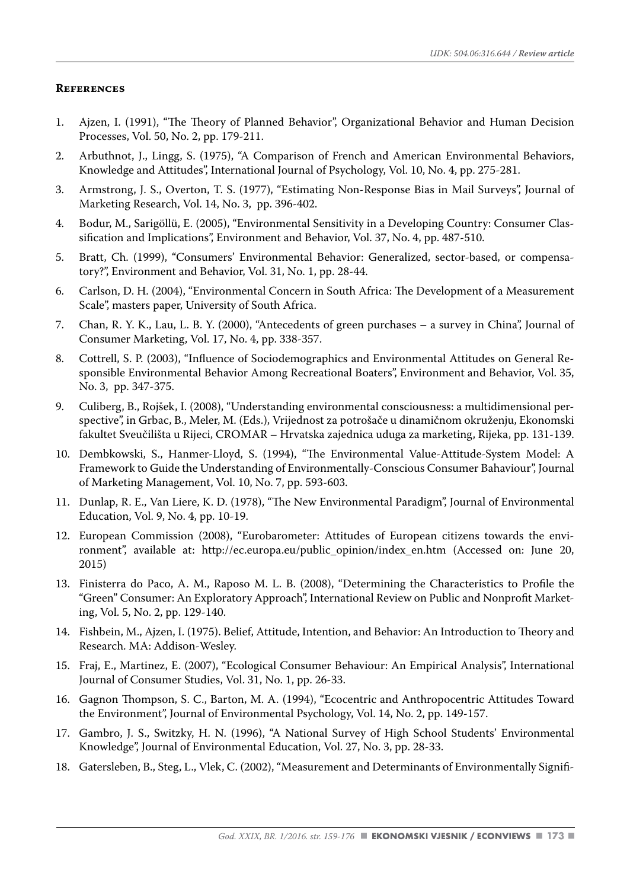#### **References**

- 1. Ajzen, I. (1991), "The Theory of Planned Behavior", Organizational Behavior and Human Decision Processes, Vol. 50, No. 2, pp. 179-211.
- 2. Arbuthnot, J., Lingg, S. (1975), "A Comparison of French and American Environmental Behaviors, Knowledge and Attitudes", International Journal of Psychology, Vol. 10, No. 4, pp. 275-281.
- 3. Armstrong, J. S., Overton, T. S. (1977), "Estimating Non-Response Bias in Mail Surveys", Journal of Marketing Research, Vol. 14, No. 3, pp. 396-402.
- 4. Bodur, M., Sarigöllü, E. (2005), "Environmental Sensitivity in a Developing Country: Consumer Classification and Implications", Environment and Behavior, Vol. 37, No. 4, pp. 487-510.
- 5. Bratt, Ch. (1999), "Consumers' Environmental Behavior: Generalized, sector-based, or compensatory?", Environment and Behavior, Vol. 31, No. 1, pp. 28-44.
- 6. Carlson, D. H. (2004), "Environmental Concern in South Africa: The Development of a Measurement Scale", masters paper, University of South Africa.
- 7. Chan, R. Y. K., Lau, L. B. Y. (2000), "Antecedents of green purchases a survey in China", Journal of Consumer Marketing, Vol. 17, No. 4, pp. 338-357.
- 8. Cottrell, S. P. (2003), "Influence of Sociodemographics and Environmental Attitudes on General Responsible Environmental Behavior Among Recreational Boaters", Environment and Behavior, Vol. 35, No. 3, pp. 347-375.
- 9. Culiberg, B., Rojšek, I. (2008), "Understanding environmental consciousness: a multidimensional perspective", in Grbac, B., Meler, M. (Eds.), Vrijednost za potrošače u dinamičnom okruženju, Ekonomski fakultet Sveučilišta u Rijeci, CROMAR – Hrvatska zajednica uduga za marketing, Rijeka, pp. 131-139.
- 10. Dembkowski, S., Hanmer-Lloyd, S. (1994), "The Environmental Value-Attitude-System Model: A Framework to Guide the Understanding of Environmentally-Conscious Consumer Bahaviour", Journal of Marketing Management, Vol. 10, No. 7, pp. 593-603.
- 11. Dunlap, R. E., Van Liere, K. D. (1978), "The New Environmental Paradigm", Journal of Environmental Education, Vol. 9, No. 4, pp. 10-19.
- 12. European Commission (2008), "Eurobarometer: Attitudes of European citizens towards the environment", available at: http://ec.europa.eu/public\_opinion/index\_en.htm (Accessed on: June 20, 2015)
- 13. Finisterra do Paco, A. M., Raposo M. L. B. (2008), "Determining the Characteristics to Profile the "Green" Consumer: An Exploratory Approach", International Review on Public and Nonprofit Marketing, Vol. 5, No. 2, pp. 129-140.
- 14. Fishbein, M., Ajzen, I. (1975). Belief, Attitude, Intention, and Behavior: An Introduction to Theory and Research. MA: Addison-Wesley.
- 15. Fraj, E., Martinez, E. (2007), "Ecological Consumer Behaviour: An Empirical Analysis", International Journal of Consumer Studies, Vol. 31, No. 1, pp. 26-33.
- 16. Gagnon Thompson, S. C., Barton, M. A. (1994), "Ecocentric and Anthropocentric Attitudes Toward the Environment", Journal of Environmental Psychology, Vol. 14, No. 2, pp. 149-157.
- 17. Gambro, J. S., Switzky, H. N. (1996), "A National Survey of High School Students' Environmental Knowledge", Journal of Environmental Education, Vol. 27, No. 3, pp. 28-33.
- 18. Gatersleben, B., Steg, L., Vlek, C. (2002), "Measurement and Determinants of Environmentally Signifi-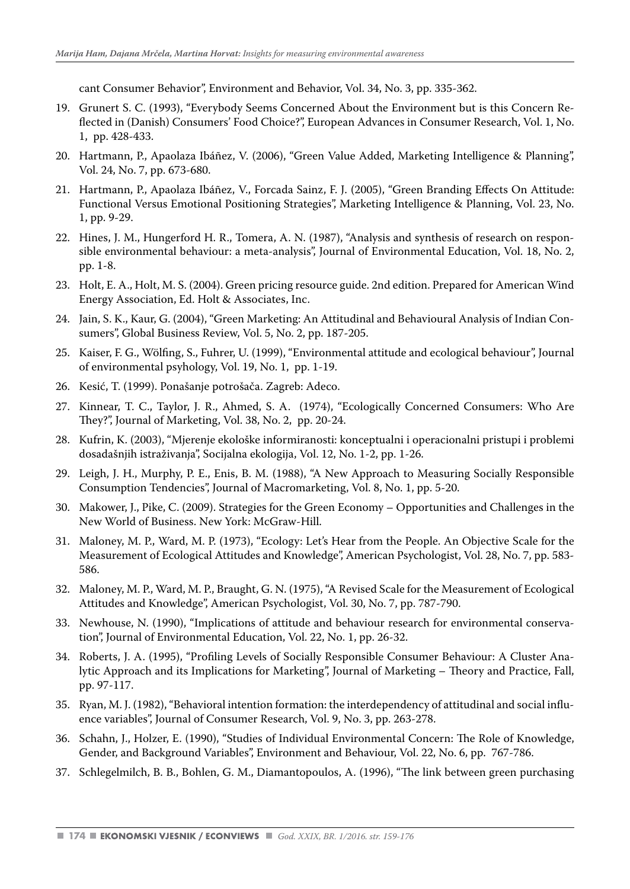cant Consumer Behavior", Environment and Behavior, Vol. 34, No. 3, pp. 335-362.

- 19. Grunert S. C. (1993), "Everybody Seems Concerned About the Environment but is this Concern Reflected in (Danish) Consumers' Food Choice?", European Advances in Consumer Research, Vol. 1, No. 1, pp. 428-433.
- 20. Hartmann, P., Apaolaza Ibáñez, V. (2006), "Green Value Added, Marketing Intelligence & Planning", Vol. 24, No. 7, pp. 673-680.
- 21. Hartmann, P., Apaolaza Ibáñez, V., Forcada Sainz, F. J. (2005), "Green Branding Effects On Attitude: Functional Versus Emotional Positioning Strategies", Marketing Intelligence & Planning, Vol. 23, No. 1, pp. 9-29.
- 22. Hines, J. M., Hungerford H. R., Tomera, A. N. (1987), "Analysis and synthesis of research on responsible environmental behaviour: a meta-analysis", Journal of Environmental Education, Vol. 18, No. 2, pp. 1-8.
- 23. Holt, E. A., Holt, M. S. (2004). Green pricing resource guide. 2nd edition. Prepared for American Wind Energy Association, Ed. Holt & Associates, Inc.
- 24. Jain, S. K., Kaur, G. (2004), "Green Marketing: An Attitudinal and Behavioural Analysis of Indian Consumers", Global Business Review, Vol. 5, No. 2, pp. 187-205.
- 25. Kaiser, F. G., Wölfing, S., Fuhrer, U. (1999), "Environmental attitude and ecological behaviour", Journal of environmental psyhology, Vol. 19, No. 1, pp. 1-19.
- 26. Kesić, T. (1999). Ponašanje potrošača. Zagreb: Adeco.
- 27. Kinnear, T. C., Taylor, J. R., Ahmed, S. A. (1974), "Ecologically Concerned Consumers: Who Are They?", Journal of Marketing, Vol. 38, No. 2, pp. 20-24.
- 28. Kufrin, K. (2003), "Mjerenje ekološke informiranosti: konceptualni i operacionalni pristupi i problemi dosadašnjih istraživanja", Socijalna ekologija, Vol. 12, No. 1-2, pp. 1-26.
- 29. Leigh, J. H., Murphy, P. E., Enis, B. M. (1988), "A New Approach to Measuring Socially Responsible Consumption Tendencies", Journal of Macromarketing, Vol. 8, No. 1, pp. 5-20.
- 30. Makower, J., Pike, C. (2009). Strategies for the Green Economy Opportunities and Challenges in the New World of Business. New York: McGraw-Hill.
- 31. Maloney, M. P., Ward, M. P. (1973), "Ecology: Let's Hear from the People. An Objective Scale for the Measurement of Ecological Attitudes and Knowledge", American Psychologist, Vol. 28, No. 7, pp. 583- 586.
- 32. Maloney, M. P., Ward, M. P., Braught, G. N. (1975), "A Revised Scale for the Measurement of Ecological Attitudes and Knowledge", American Psychologist, Vol. 30, No. 7, pp. 787-790.
- 33. Newhouse, N. (1990), "Implications of attitude and behaviour research for environmental conservation", Journal of Environmental Education, Vol. 22, No. 1, pp. 26-32.
- 34. Roberts, J. A. (1995), "Profiling Levels of Socially Responsible Consumer Behaviour: A Cluster Analytic Approach and its Implications for Marketing", Journal of Marketing – Theory and Practice, Fall, pp. 97-117.
- 35. Ryan, M. J. (1982), "Behavioral intention formation: the interdependency of attitudinal and social influence variables", Journal of Consumer Research, Vol. 9, No. 3, pp. 263-278.
- 36. Schahn, J., Holzer, E. (1990), "Studies of Individual Environmental Concern: The Role of Knowledge, Gender, and Background Variables", Environment and Behaviour, Vol. 22, No. 6, pp. 767-786.
- 37. Schlegelmilch, B. B., Bohlen, G. M., Diamantopoulos, A. (1996), "The link between green purchasing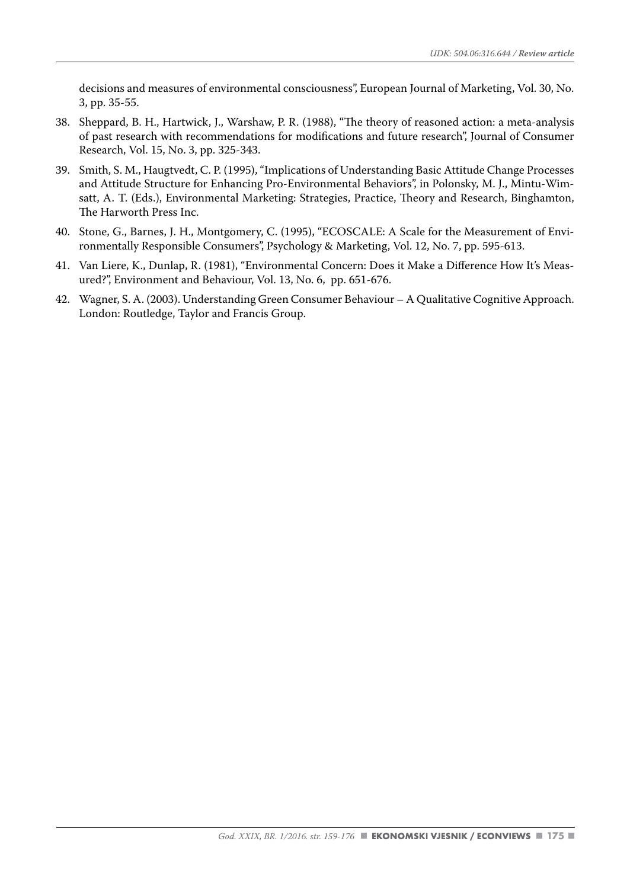decisions and measures of environmental consciousness", European Journal of Marketing, Vol. 30, No. 3, pp. 35-55.

- 38. Sheppard, B. H., Hartwick, J., Warshaw, P. R. (1988), "The theory of reasoned action: a meta-analysis of past research with recommendations for modifications and future research", Journal of Consumer Research, Vol. 15, No. 3, pp. 325-343.
- 39. Smith, S. M., Haugtvedt, C. P. (1995), "Implications of Understanding Basic Attitude Change Processes and Attitude Structure for Enhancing Pro-Environmental Behaviors", in Polonsky, M. J., Mintu-Wimsatt, A. T. (Eds.), Environmental Marketing: Strategies, Practice, Theory and Research, Binghamton, The Harworth Press Inc.
- 40. Stone, G., Barnes, J. H., Montgomery, C. (1995), "ECOSCALE: A Scale for the Measurement of Environmentally Responsible Consumers", Psychology & Marketing, Vol. 12, No. 7, pp. 595-613.
- 41. Van Liere, K., Dunlap, R. (1981), "Environmental Concern: Does it Make a Difference How It's Measured?", Environment and Behaviour, Vol. 13, No. 6, pp. 651-676.
- 42. Wagner, S. A. (2003). Understanding Green Consumer Behaviour A Qualitative Cognitive Approach. London: Routledge, Taylor and Francis Group.